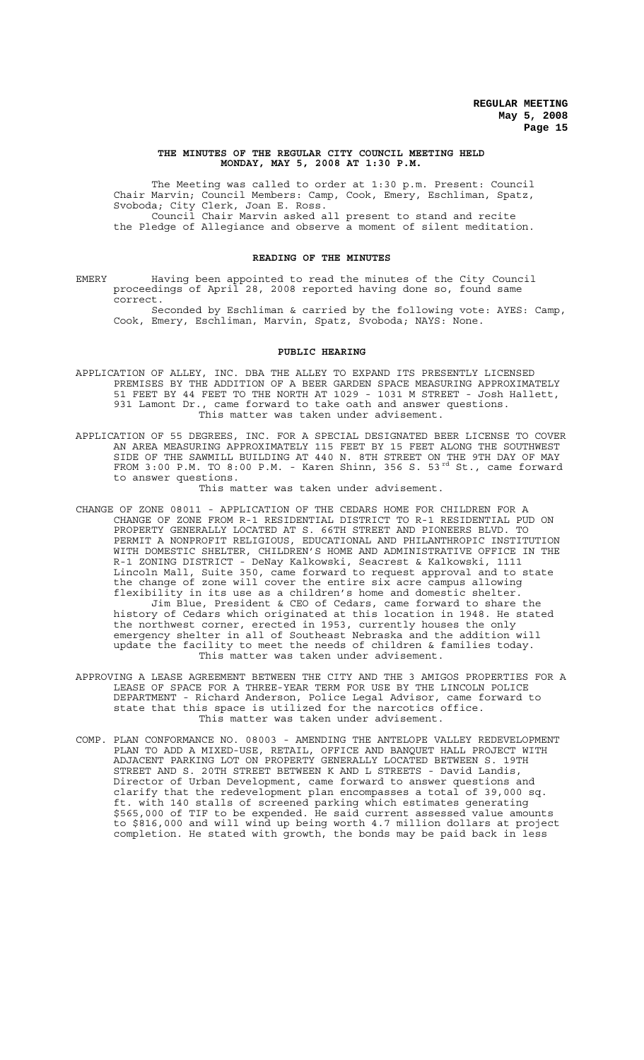#### **THE MINUTES OF THE REGULAR CITY COUNCIL MEETING HELD MONDAY, MAY 5, 2008 AT 1:30 P.M.**

The Meeting was called to order at 1:30 p.m. Present: Council Chair Marvin; Council Members: Camp, Cook, Emery, Eschliman, Spatz, Svoboda; City Clerk, Joan E. Ross. Council Chair Marvin asked all present to stand and recite the Pledge of Allegiance and observe a moment of silent meditation.

#### **READING OF THE MINUTES**

EMERY Having been appointed to read the minutes of the City Council proceedings of April 28, 2008 reported having done so, found same correct.

Seconded by Eschliman & carried by the following vote: AYES: Camp, Cook, Emery, Eschliman, Marvin, Spatz, Svoboda; NAYS: None.

#### **PUBLIC HEARING**

- APPLICATION OF ALLEY, INC. DBA THE ALLEY TO EXPAND ITS PRESENTLY LICENSED PREMISES BY THE ADDITION OF A BEER GARDEN SPACE MEASURING APPROXIMATELY 51 FEET BY 44 FEET TO THE NORTH AT 1029 - 1031 M STREET - Josh Hallett, 931 Lamont Dr., came forward to take oath and answer questions. This matter was taken under advisement.
- APPLICATION OF 55 DEGREES, INC. FOR A SPECIAL DESIGNATED BEER LICENSE TO COVER AN AREA MEASURING APPROXIMATELY 115 FEET BY 15 FEET ALONG THE SOUTHWEST SIDE OF THE SAWMILL BUILDING AT 440 N. 8TH STREET ON THE 9TH DAY OF MAY FROM 3:00 P.M. TO 8:00 P.M. - Karen Shinn, 356 S. 53<sup>rd</sup> St., came forward to answer questions.

This matter was taken under advisement.

- CHANGE OF ZONE 08011 APPLICATION OF THE CEDARS HOME FOR CHILDREN FOR A CHANGE OF ZONE FROM R-1 RESIDENTIAL DISTRICT TO R-1 RESIDENTIAL PUD ON PROPERTY GENERALLY LOCATED AT S. 66TH STREET AND PIONEERS BLVD. TO PERMIT A NONPROFIT RELIGIOUS, EDUCATIONAL AND PHILANTHROPIC INSTITUTION WITH DOMESTIC SHELTER, CHILDREN'S HOME AND ADMINISTRATIVE OFFICE IN THE R-1 ZONING DISTRICT - DeNay Kalkowski, Seacrest & Kalkowski, 1111 Lincoln Mall, Suite 350, came forward to request approval and to state the change of zone will cover the entire six acre campus allowing flexibility in its use as a children's home and domestic shelter. Jim Blue, President & CEO of Cedars, came forward to share the history of Cedars which originated at this location in 1948. He stated the northwest corner, erected in 1953, currently houses the only emergency shelter in all of Southeast Nebraska and the addition will update the facility to meet the needs of children & families today. This matter was taken under advisement.
- APPROVING A LEASE AGREEMENT BETWEEN THE CITY AND THE 3 AMIGOS PROPERTIES FOR A LEASE OF SPACE FOR A THREE-YEAR TERM FOR USE BY THE LINCOLN POLICE DEPARTMENT - Richard Anderson, Police Legal Advisor, came forward to state that this space is utilized for the narcotics office. This matter was taken under advisement.
- COMP. PLAN CONFORMANCE NO. 08003 AMENDING THE ANTELOPE VALLEY REDEVELOPMENT PLAN TO ADD A MIXED-USE, RETAIL, OFFICE AND BANQUET HALL PROJECT WITH ADJACENT PARKING LOT ON PROPERTY GENERALLY LOCATED BETWEEN S. 19TH STREET AND S. 20TH STREET BETWEEN K AND L STREETS - David Landis, Director of Urban Development, came forward to answer questions and clarify that the redevelopment plan encompasses a total of 39,000 sq. ft. with 140 stalls of screened parking which estimates generating \$565,000 of TIF to be expended. He said current assessed value amounts to \$816,000 and will wind up being worth 4.7 million dollars at project completion. He stated with growth, the bonds may be paid back in less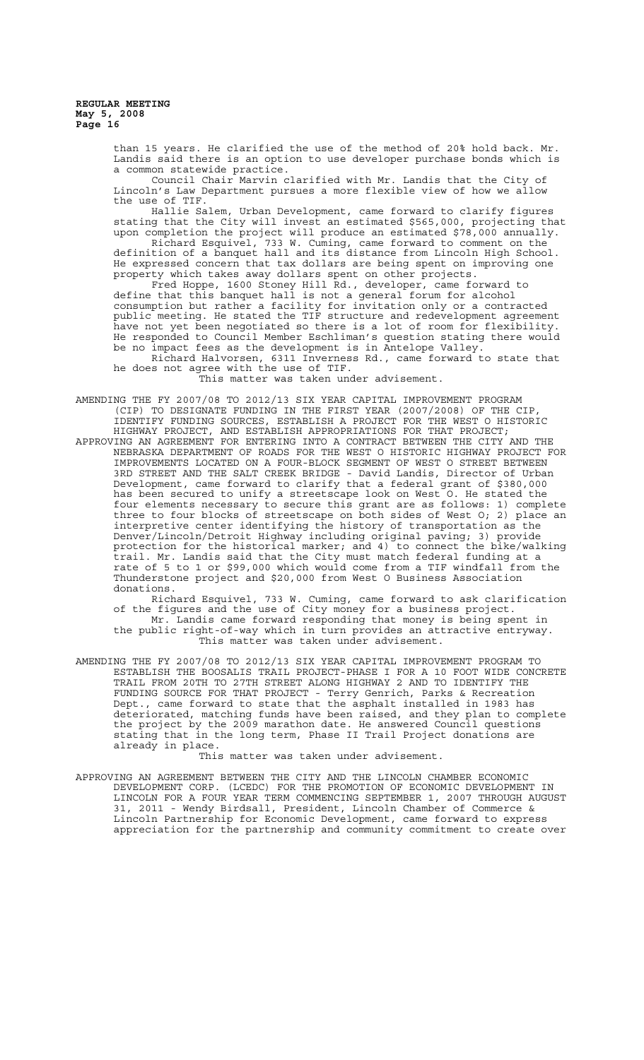> than 15 years. He clarified the use of the method of 20% hold back. Mr. Landis said there is an option to use developer purchase bonds which is a common statewide practice.

Council Chair Marvin clarified with Mr. Landis that the City of Lincoln's Law Department pursues a more flexible view of how we allow the use of TIF.<br>Hallie Salem,

Urban Development, came forward to clarify figures stating that the City will invest an estimated \$565,000, projecting that upon completion the project will produce an estimated \$78,000 annually. Richard Esquivel, 733 W. Cuming, came forward to comment on the

definition of a banquet hall and its distance from Lincoln High School. He expressed concern that tax dollars are being spent on improving one property which takes away dollars spent on other projects. Fred Hoppe, 1600 Stoney Hill Rd., developer, came forward to

define that this banquet hall is not a general forum for alcohol consumption but rather a facility for invitation only or a contracted public meeting. He stated the TIF structure and redevelopment agreement have not yet been negotiated so there is a lot of room for flexibility. He responded to Council Member Eschliman's question stating there would be no impact fees as the development is in Antelope Valley.

Richard Halvorsen, 6311 Inverness Rd., came forward to state that he does not agree with the use of TIF.

This matter was taken under advisement.

AMENDING THE FY 2007/08 TO 2012/13 SIX YEAR CAPITAL IMPROVEMENT PROGRAM (CIP) TO DESIGNATE FUNDING IN THE FIRST YEAR (2007/2008) OF THE CIP, IDENTIFY FUNDING SOURCES, ESTABLISH A PROJECT FOR THE WEST O HISTORIC HIGHWAY PROJECT, AND ESTABLISH APPROPRIATIONS FOR THAT PROJECT; APPROVING AN AGREEMENT FOR ENTERING INTO A CONTRACT BETWEEN THE CITY AND THE NEBRASKA DEPARTMENT OF ROADS FOR THE WEST O HISTORIC HIGHWAY PROJECT FOR IMPROVEMENTS LOCATED ON A FOUR-BLOCK SEGMENT OF WEST O STREET BETWEEN 3RD STREET AND THE SALT CREEK BRIDGE - David Landis, Director of Urban Development, came forward to clarify that a federal grant of \$380,000 has been secured to unify a streetscape look on West O. He stated the four elements necessary to secure this grant are as follows: 1) complete three to four blocks of streetscape on both sides of West O; 2) place an interpretive center identifying the history of transportation as the Denver/Lincoln/Detroit Highway including original paving; 3) provide protection for the historical marker; and 4) to connect the bike/walking trail. Mr. Landis said that the City must match federal funding at a rate of 5 to 1 or \$99,000 which would come from a TIF windfall from the Thunderstone project and \$20,000 from West O Business Association donations.

Richard Esquivel, 733 W. Cuming, came forward to ask clarification of the figures and the use of City money for a business project. Mr. Landis came forward responding that money is being spent in the public right-of-way which in turn provides an attractive entryway. This matter was taken under advisement.

AMENDING THE FY 2007/08 TO 2012/13 SIX YEAR CAPITAL IMPROVEMENT PROGRAM TO ESTABLISH THE BOOSALIS TRAIL PROJECT-PHASE I FOR A 10 FOOT WIDE CONCRETE TRAIL FROM 20TH TO 27TH STREET ALONG HIGHWAY 2 AND TO IDENTIFY THE FUNDING SOURCE FOR THAT PROJECT - Terry Genrich, Parks & Recreation Dept., came forward to state that the asphalt installed in 1983 has deteriorated, matching funds have been raised, and they plan to complete the project by the 2009 marathon date. He answered Council questions stating that in the long term, Phase II Trail Project donations are already in place.

This matter was taken under advisement.

APPROVING AN AGREEMENT BETWEEN THE CITY AND THE LINCOLN CHAMBER ECONOMIC DEVELOPMENT CORP. (LCEDC) FOR THE PROMOTION OF ECONOMIC DEVELOPMENT IN LINCOLN FOR A FOUR YEAR TERM COMMENCING SEPTEMBER 1, 2007 THROUGH AUGUST 31, 2011 - Wendy Birdsall, President, Lincoln Chamber of Commerce & Lincoln Partnership for Economic Development, came forward to express appreciation for the partnership and community commitment to create over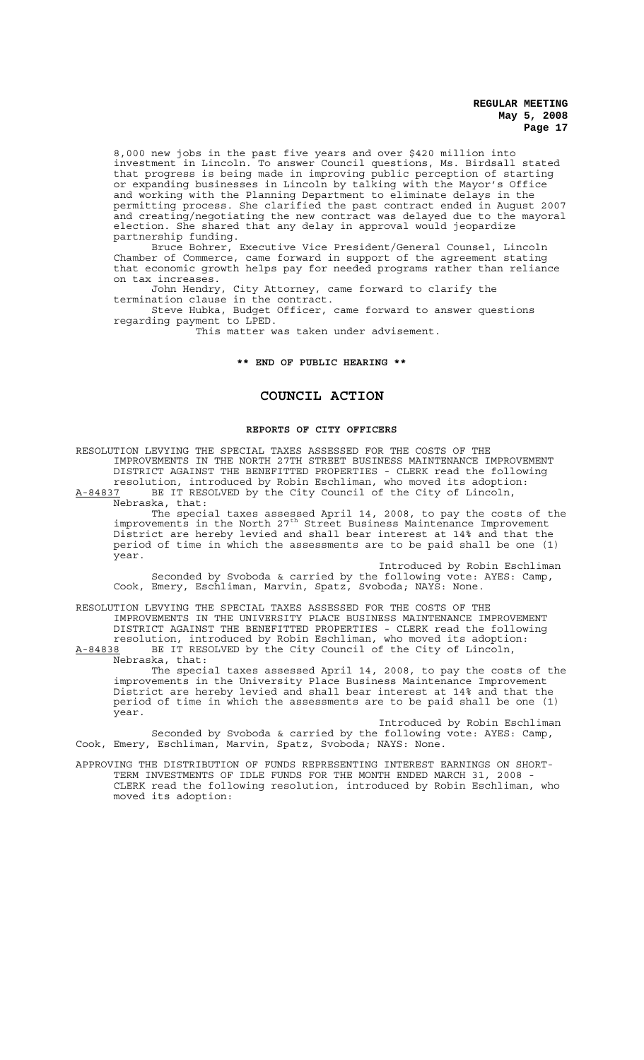8,000 new jobs in the past five years and over \$420 million into investment in Lincoln. To answer Council questions, Ms. Birdsall stated that progress is being made in improving public perception of starting or expanding businesses in Lincoln by talking with the Mayor's Office and working with the Planning Department to eliminate delays in the permitting process. She clarified the past contract ended in August 2007 and creating/negotiating the new contract was delayed due to the mayoral election. She shared that any delay in approval would jeopardize partnership funding.

Bruce Bohrer, Executive Vice President/General Counsel, Lincoln Chamber of Commerce, came forward in support of the agreement stating that economic growth helps pay for needed programs rather than reliance on tax increases.

John Hendry, City Attorney, came forward to clarify the termination clause in the contract.

Steve Hubka, Budget Officer, came forward to answer questions regarding payment to LPED.

This matter was taken under advisement.

#### **\*\* END OF PUBLIC HEARING \*\***

# **COUNCIL ACTION**

# **REPORTS OF CITY OFFICERS**

RESOLUTION LEVYING THE SPECIAL TAXES ASSESSED FOR THE COSTS OF THE IMPROVEMENTS IN THE NORTH 27TH STREET BUSINESS MAINTENANCE IMPROVEMENT DISTRICT AGAINST THE BENEFITTED PROPERTIES - CLERK read the following resolution, introduced by Robin Eschliman, who moved its adoption: A-84837 BE IT RESOLVED by the City Council of the City of Lincoln, Nebraska, that:

The special taxes assessed April 14, 2008, to pay the costs of the improvements in the North 27<sup>th</sup> Street Business Maintenance Improvement District are hereby levied and shall bear interest at 14% and that the period of time in which the assessments are to be paid shall be one (1) year.

Introduced by Robin Eschliman Seconded by Svoboda & carried by the following vote: AYES: Camp, Cook, Emery, Eschliman, Marvin, Spatz, Svoboda; NAYS: None.

RESOLUTION LEVYING THE SPECIAL TAXES ASSESSED FOR THE COSTS OF THE IMPROVEMENTS IN THE UNIVERSITY PLACE BUSINESS MAINTENANCE IMPROVEMENT DISTRICT AGAINST THE BENEFITTED PROPERTIES - CLERK read the following resolution, introduced by Robin Eschliman, who moved its adoption: A-84838 BE IT RESOLVED by the City Council of the City of Lincoln,

Nebraska, that: The special taxes assessed April 14, 2008, to pay the costs of the improvements in the University Place Business Maintenance Improvement District are hereby levied and shall bear interest at 14% and that the period of time in which the assessments are to be paid shall be one (1) year.

Introduced by Robin Eschliman Seconded by Svoboda & carried by the following vote: AYES: Camp, Cook, Emery, Eschliman, Marvin, Spatz, Svoboda; NAYS: None.

APPROVING THE DISTRIBUTION OF FUNDS REPRESENTING INTEREST EARNINGS ON SHORT-TERM INVESTMENTS OF IDLE FUNDS FOR THE MONTH ENDED MARCH 31, 2008 - CLERK read the following resolution, introduced by Robin Eschliman, who moved its adoption: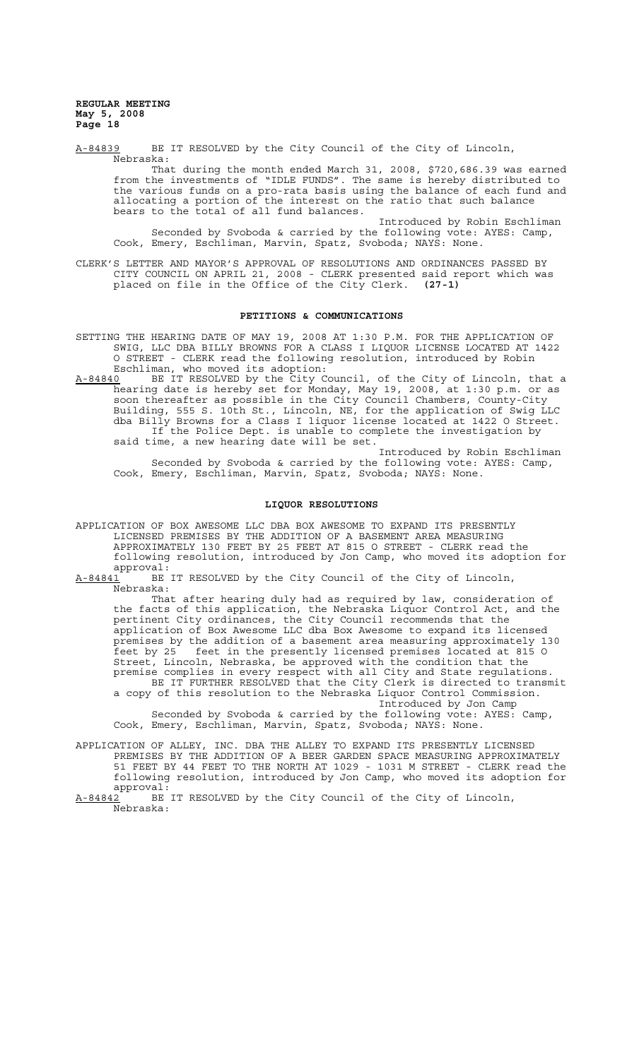A-84839 BE IT RESOLVED by the City Council of the City of Lincoln, Nebraska: That during the month ended March 31, 2008, \$720,686.39 was earned

from the investments of "IDLE FUNDS". The same is hereby distributed to the various funds on a pro-rata basis using the balance of each fund and allocating a portion of the interest on the ratio that such balance bears to the total of all fund balances.

Introduced by Robin Eschliman Seconded by Svoboda & carried by the following vote: AYES: Camp, Cook, Emery, Eschliman, Marvin, Spatz, Svoboda; NAYS: None.

CLERK'S LETTER AND MAYOR'S APPROVAL OF RESOLUTIONS AND ORDINANCES PASSED BY CITY COUNCIL ON APRIL 21, 2008 - CLERK presented said report which was placed on file in the Office of the City Clerk. **(27-1)**

#### **PETITIONS & COMMUNICATIONS**

- SETTING THE HEARING DATE OF MAY 19, 2008 AT 1:30 P.M. FOR THE APPLICATION OF SWIG, LLC DBA BILLY BROWNS FOR A CLASS I LIQUOR LICENSE LOCATED AT 1422 O STREET - CLERK read the following resolution, introduced by Robin Eschliman, who moved its adoption:
- A-84840 BE IT RESOLVED by the City Council, of the City of Lincoln, that a hearing date is hereby set for Monday, May 19, 2008, at 1:30 p.m. or as soon thereafter as possible in the City Council Chambers, County-City Building, 555 S. 10th St., Lincoln, NE, for the application of Swig LLC dba Billy Browns for a Class I liquor license located at 1422 O Street. If the Police Dept. is unable to complete the investigation by said time, a new hearing date will be set.

Introduced by Robin Eschliman Seconded by Svoboda & carried by the following vote: AYES: Camp, Cook, Emery, Eschliman, Marvin, Spatz, Svoboda; NAYS: None.

#### **LIQUOR RESOLUTIONS**

- APPLICATION OF BOX AWESOME LLC DBA BOX AWESOME TO EXPAND ITS PRESENTLY LICENSED PREMISES BY THE ADDITION OF A BASEMENT AREA MEASURING APPROXIMATELY 130 FEET BY 25 FEET AT 815 O STREET - CLERK read the following resolution, introduced by Jon Camp, who moved its adoption for approval:
- A-84841 BE IT RESOLVED by the City Council of the City of Lincoln, Nebraska:

That after hearing duly had as required by law, consideration of the facts of this application, the Nebraska Liquor Control Act, and the pertinent City ordinances, the City Council recommends that the application of Box Awesome LLC dba Box Awesome to expand its licensed premises by the addition of a basement area measuring approximately 130 feet by 25 feet in the presently licensed premises located at 815 O Street, Lincoln, Nebraska, be approved with the condition that the premise complies in every respect with all City and State regulations. BE IT FURTHER RESOLVED that the City Clerk is directed to transmit a copy of this resolution to the Nebraska Liquor Control Commission.

Introduced by Jon Camp Seconded by Svoboda & carried by the following vote: AYES: Camp, Cook, Emery, Eschliman, Marvin, Spatz, Svoboda; NAYS: None.

APPLICATION OF ALLEY, INC. DBA THE ALLEY TO EXPAND ITS PRESENTLY LICENSED PREMISES BY THE ADDITION OF A BEER GARDEN SPACE MEASURING APPROXIMATELY 51 FEET BY 44 FEET TO THE NORTH AT 1029 - 1031 M STREET - CLERK read the following resolution, introduced by Jon Camp, who moved its adoption for  $approwal:$ <br> $A-84842$  BE

BE IT RESOLVED by the City Council of the City of Lincoln, Nebraska: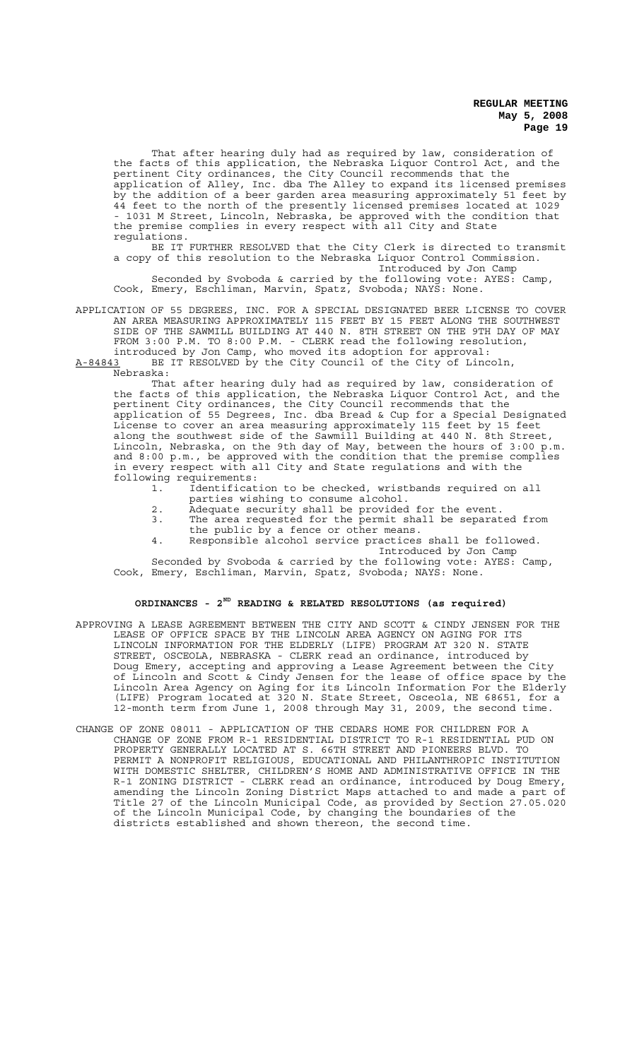That after hearing duly had as required by law, consideration of the facts of this application, the Nebraska Liquor Control Act, and the pertinent City ordinances, the City Council recommends that the application of Alley, Inc. dba The Alley to expand its licensed premises by the addition of a beer garden area measuring approximately 51 feet by 44 feet to the north of the presently licensed premises located at 1029 - 1031 M Street, Lincoln, Nebraska, be approved with the condition that the premise complies in every respect with all City and State regulations.

BE IT FURTHER RESOLVED that the City Clerk is directed to transmit a copy of this resolution to the Nebraska Liquor Control Commission. Introduced by Jon Camp

Seconded by Svoboda & carried by the following vote: AYES: Camp, Cook, Emery, Eschliman, Marvin, Spatz, Svoboda; NAYS: None.

APPLICATION OF 55 DEGREES, INC. FOR A SPECIAL DESIGNATED BEER LICENSE TO COVER AN AREA MEASURING APPROXIMATELY 115 FEET BY 15 FEET ALONG THE SOUTHWEST SIDE OF THE SAWMILL BUILDING AT 440 N. 8TH STREET ON THE 9TH DAY OF MAY FROM 3:00 P.M. TO 8:00 P.M. - CLERK read the following resolution, introduced by Jon Camp, who moved its adoption for approval:<br>A-84843 BE IT RESOLVED by the City Council of the City of Linc

BE IT RESOLVED by the City Council of the City of Lincoln, Nebraska:

That after hearing duly had as required by law, consideration of the facts of this application, the Nebraska Liquor Control Act, and the pertinent City ordinances, the City Council recommends that the application of 55 Degrees, Inc. dba Bread & Cup for a Special Designated License to cover an area measuring approximately 115 feet by 15 feet along the southwest side of the Sawmill Building at 440 N. 8th Street, Lincoln, Nebraska, on the 9th day of May, between the hours of 3:00 p.m. and 8:00 p.m., be approved with the condition that the premise complies in every respect with all City and State regulations and with the following requirements:

- 1. Identification to be checked, wristbands required on all parties wishing to consume alcohol.
- 2. Adequate security shall be provided for the event.
- 3. The area requested for the permit shall be separated from the public by a fence or other means.
- 4. Responsible alcohol service practices shall be followed. Introduced by Jon Camp

Seconded by Svoboda & carried by the following vote: AYES: Camp, Cook, Emery, Eschliman, Marvin, Spatz, Svoboda; NAYS: None.

# **ORDINANCES - 2ND READING & RELATED RESOLUTIONS (as required)**

- APPROVING A LEASE AGREEMENT BETWEEN THE CITY AND SCOTT & CINDY JENSEN FOR THE LEASE OF OFFICE SPACE BY THE LINCOLN AREA AGENCY ON AGING FOR ITS LINCOLN INFORMATION FOR THE ELDERLY (LIFE) PROGRAM AT 320 N. STATE STREET, OSCEOLA, NEBRASKA - CLERK read an ordinance, introduced by Doug Emery, accepting and approving a Lease Agreement between the City of Lincoln and Scott & Cindy Jensen for the lease of office space by the Lincoln Area Agency on Aging for its Lincoln Information For the Elderly (LIFE) Program located at 320 N. State Street, Osceola, NE 68651, for a 12-month term from June 1, 2008 through May 31, 2009, the second time.
- CHANGE OF ZONE 08011 APPLICATION OF THE CEDARS HOME FOR CHILDREN FOR A CHANGE OF ZONE FROM R-1 RESIDENTIAL DISTRICT TO R-1 RESIDENTIAL PUD ON PROPERTY GENERALLY LOCATED AT S. 66TH STREET AND PIONEERS BLVD. TO PERMIT A NONPROFIT RELIGIOUS, EDUCATIONAL AND PHILANTHROPIC INSTITUTION WITH DOMESTIC SHELTER, CHILDREN'S HOME AND ADMINISTRATIVE OFFICE IN THE R-1 ZONING DISTRICT - CLERK read an ordinance, introduced by Doug Emery, amending the Lincoln Zoning District Maps attached to and made a part of Title 27 of the Lincoln Municipal Code, as provided by Section 27.05.020 of the Lincoln Municipal Code, by changing the boundaries of the districts established and shown thereon, the second time.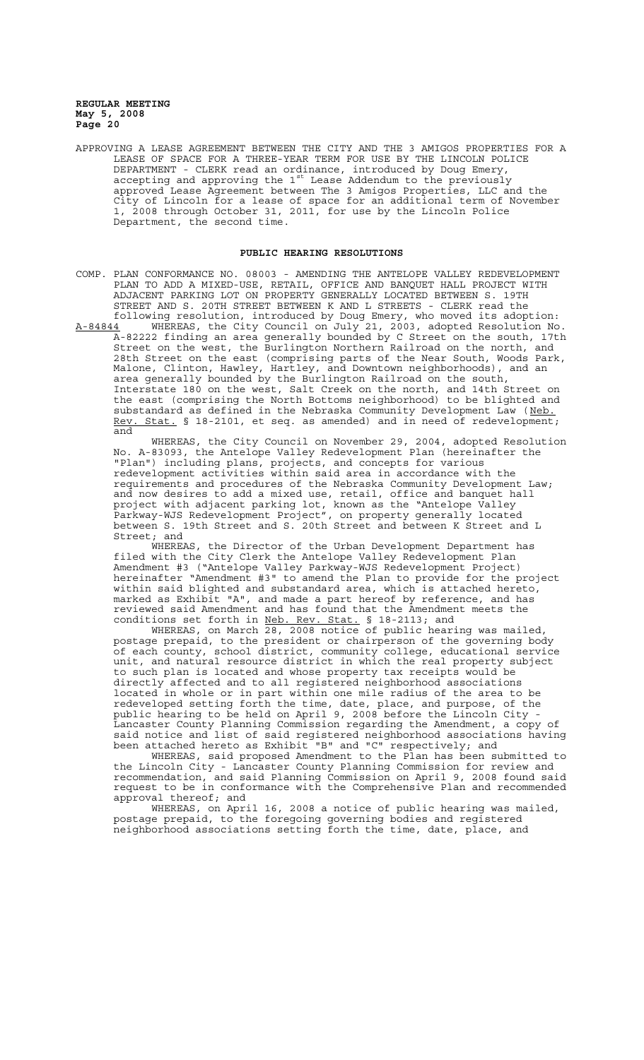APPROVING A LEASE AGREEMENT BETWEEN THE CITY AND THE 3 AMIGOS PROPERTIES FOR A LEASE OF SPACE FOR A THREE-YEAR TERM FOR USE BY THE LINCOLN POLICE DEPARTMENT - CLERK read an ordinance, introduced by Doug Emery, accepting and approving the  $1^{st}$  Lease Addendum to the previously approved Lease Agreement between The 3 Amigos Properties, LLC and the City of Lincoln for a lease of space for an additional term of November 1, 2008 through October 31, 2011, for use by the Lincoln Police Department, the second time.

### **PUBLIC HEARING RESOLUTIONS**

- COMP. PLAN CONFORMANCE NO. 08003 AMENDING THE ANTELOPE VALLEY REDEVELOPMENT PLAN TO ADD A MIXED-USE, RETAIL, OFFICE AND BANQUET HALL PROJECT WITH ADJACENT PARKING LOT ON PROPERTY GENERALLY LOCATED BETWEEN S. 19TH STREET AND S. 20TH STREET BETWEEN K AND L STREETS - CLERK read the following resolution, introduced by Doug Emery, who moved its adoption:
- A-84844 WHEREAS, the City Council on July 21, 2003, adopted Resolution No. A-82222 finding an area generally bounded by C Street on the south, 17th Street on the west, the Burlington Northern Railroad on the north, and 28th Street on the east (comprising parts of the Near South, Woods Park, Malone, Clinton, Hawley, Hartley, and Downtown neighborhoods), and an area generally bounded by the Burlington Railroad on the south, Interstate 180 on the west, Salt Creek on the north, and 14th Street on the east (comprising the North Bottoms neighborhood) to be blighted and substandard as defined in the Nebraska Community Development Law (Neb. Rev. Stat. § 18-2101, et seq. as amended) and in need of redevelopment; and

WHEREAS, the City Council on November 29, 2004, adopted Resolution No. A-83093, the Antelope Valley Redevelopment Plan (hereinafter the "Plan") including plans, projects, and concepts for various redevelopment activities within said area in accordance with the requirements and procedures of the Nebraska Community Development Law; and now desires to add a mixed use, retail, office and banquet hall project with adjacent parking lot, known as the "Antelope Valley Parkway-WJS Redevelopment Project", on property generally located between S. 19th Street and S. 20th Street and between K Street and L Street; and

WHEREAS, the Director of the Urban Development Department has filed with the City Clerk the Antelope Valley Redevelopment Plan Amendment #3 ("Antelope Valley Parkway-WJS Redevelopment Project) hereinafter "Amendment #3" to amend the Plan to provide for the project within said blighted and substandard area, which is attached hereto, marked as Exhibit "A", and made a part hereof by reference, and has reviewed said Amendment and has found that the Amendment meets the conditions set forth in Neb. Rev. Stat. § 18-2113; and

WHEREAS, on March 28, 2008 notice of public hearing was mailed, postage prepaid, to the president or chairperson of the governing body of each county, school district, community college, educational service unit, and natural resource district in which the real property subject to such plan is located and whose property tax receipts would be directly affected and to all registered neighborhood associations located in whole or in part within one mile radius of the area to be redeveloped setting forth the time, date, place, and purpose, of the public hearing to be held on April 9, 2008 before the Lincoln City - Lancaster County Planning Commission regarding the Amendment, a copy of said notice and list of said registered neighborhood associations having been attached hereto as Exhibit "B" and "C" respectively; and

WHEREAS, said proposed Amendment to the Plan has been submitted to the Lincoln City - Lancaster County Planning Commission for review and recommendation, and said Planning Commission on April 9, 2008 found said request to be in conformance with the Comprehensive Plan and recommended approval thereof; and

WHEREAS, on April 16, 2008 a notice of public hearing was mailed, postage prepaid, to the foregoing governing bodies and registered neighborhood associations setting forth the time, date, place, and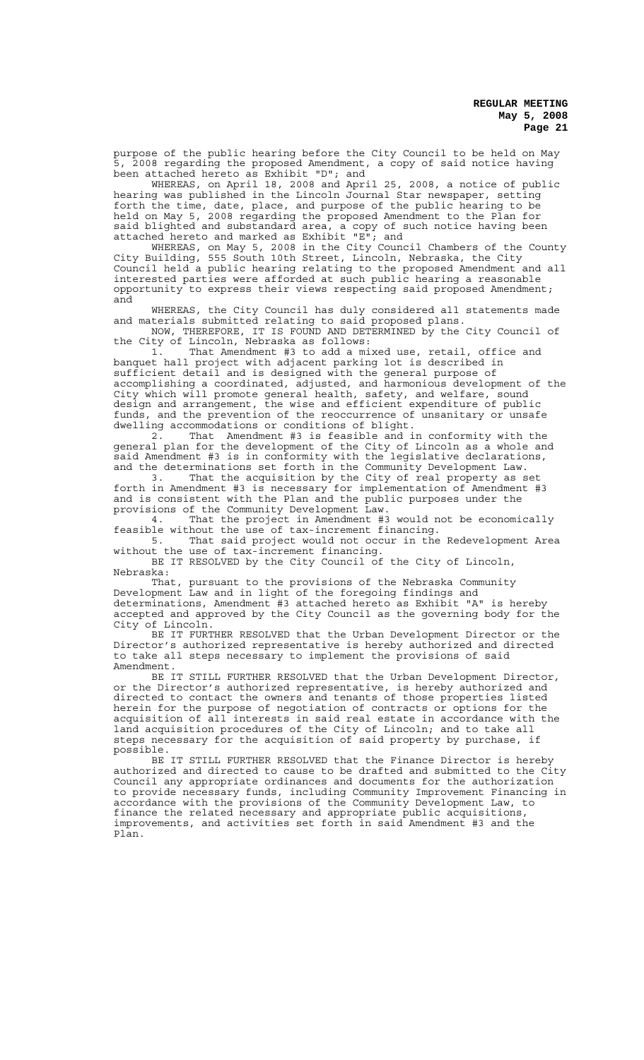purpose of the public hearing before the City Council to be held on May 5, 2008 regarding the proposed Amendment, a copy of said notice having been attached hereto as Exhibit "D"; and

WHEREAS, on April 18, 2008 and April 25, 2008, a notice of public hearing was published in the Lincoln Journal Star newspaper, setting forth the time, date, place, and purpose of the public hearing to be held on May 5, 2008 regarding the proposed Amendment to the Plan for said blighted and substandard area, a copy of such notice having been attached hereto and marked as Exhibit "E"; and

WHEREAS, on May 5, 2008 in the City Council Chambers of the County City Building, 555 South 10th Street, Lincoln, Nebraska, the City Council held a public hearing relating to the proposed Amendment and all interested parties were afforded at such public hearing a reasonable opportunity to express their views respecting said proposed Amendment; and

WHEREAS, the City Council has duly considered all statements made and materials submitted relating to said proposed plans. NOW, THEREFORE, IT IS FOUND AND DETERMINED by the City Council of

the City of Lincoln, Nebraska as follows: 1. That Amendment #3 to add a mixed use, retail, office and banquet hall project with adjacent parking lot is described in sufficient detail and is designed with the general purpose of accomplishing a coordinated, adjusted, and harmonious development of the City which will promote general health, safety, and welfare, sound design and arrangement, the wise and efficient expenditure of public funds, and the prevention of the reoccurrence of unsanitary or unsafe dwelling accommodations or conditions of blight.

2. That Amendment #3 is feasible and in conformity with the general plan for the development of the City of Lincoln as a whole and said Amendment #3 is in conformity with the legislative declarations, and the determinations set forth in the Community Development Law.

3. That the acquisition by the City of real property as set forth in Amendment #3 is necessary for implementation of Amendment #3 and is consistent with the Plan and the public purposes under the provisions of the Community Development Law.

4. That the project in Amendment #3 would not be economically feasible without the use of tax-increment financing.

5. That said project would not occur in the Redevelopment Area without the use of tax-increment financing.

BE IT RESOLVED by the City Council of the City of Lincoln, Nebraska:

That, pursuant to the provisions of the Nebraska Community Development Law and in light of the foregoing findings and determinations, Amendment #3 attached hereto as Exhibit "A" is hereby accepted and approved by the City Council as the governing body for the City of Lincoln.

BE IT FURTHER RESOLVED that the Urban Development Director or the Director's authorized representative is hereby authorized and directed to take all steps necessary to implement the provisions of said Amendment.

BE IT STILL FURTHER RESOLVED that the Urban Development Director, or the Director's authorized representative, is hereby authorized and directed to contact the owners and tenants of those properties listed herein for the purpose of negotiation of contracts or options for the acquisition of all interests in said real estate in accordance with the land acquisition procedures of the City of Lincoln; and to take all steps necessary for the acquisition of said property by purchase, if possible.

BE IT STILL FURTHER RESOLVED that the Finance Director is hereby authorized and directed to cause to be drafted and submitted to the City Council any appropriate ordinances and documents for the authorization to provide necessary funds, including Community Improvement Financing in accordance with the provisions of the Community Development Law, to finance the related necessary and appropriate public acquisitions, improvements, and activities set forth in said Amendment #3 and the Plan.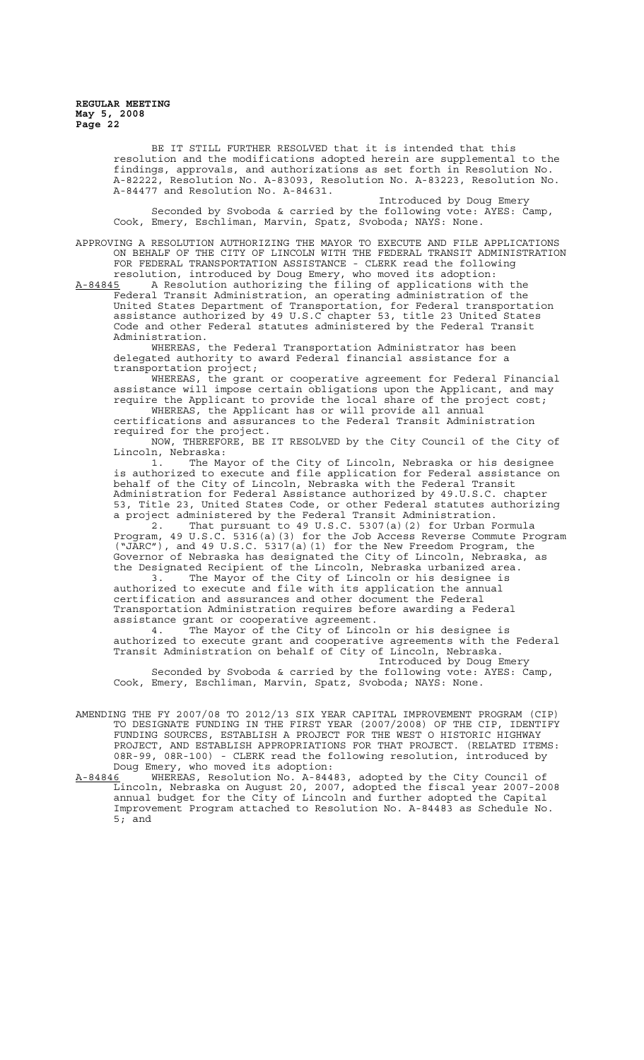> BE IT STILL FURTHER RESOLVED that it is intended that this resolution and the modifications adopted herein are supplemental to the findings, approvals, and authorizations as set forth in Resolution No. A-82222, Resolution No. A-83093, Resolution No. A-83223, Resolution No. A-84477 and Resolution No. A-84631.

Introduced by Doug Emery Seconded by Svoboda & carried by the following vote: AYES: Camp, Cook, Emery, Eschliman, Marvin, Spatz, Svoboda; NAYS: None.

APPROVING A RESOLUTION AUTHORIZING THE MAYOR TO EXECUTE AND FILE APPLICATIONS ON BEHALF OF THE CITY OF LINCOLN WITH THE FEDERAL TRANSIT ADMINISTRATION FOR FEDERAL TRANSPORTATION ASSISTANCE - CLERK read the following resolution, introduced by Doug Emery, who moved its adoption:

A-84845 A Resolution authorizing the filing of applications with the Federal Transit Administration, an operating administration of the United States Department of Transportation, for Federal transportation assistance authorized by 49 U.S.C chapter 53, title 23 United States Code and other Federal statutes administered by the Federal Transit Administration.

WHEREAS, the Federal Transportation Administrator has been delegated authority to award Federal financial assistance for a transportation project;

WHEREAS, the grant or cooperative agreement for Federal Financial assistance will impose certain obligations upon the Applicant, and may require the Applicant to provide the local share of the project cost;

WHEREAS, the Applicant has or will provide all annual certifications and assurances to the Federal Transit Administration required for the project.

NOW, THEREFORE, BE IT RESOLVED by the City Council of the City of Lincoln, Nebraska:

1. The Mayor of the City of Lincoln, Nebraska or his designee is authorized to execute and file application for Federal assistance on behalf of the City of Lincoln, Nebraska with the Federal Transit Administration for Federal Assistance authorized by 49.U.S.C. chapter 53, Title 23, United States Code, or other Federal statutes authorizing a project administered by the Federal Transit Administration.

2. That pursuant to 49 U.S.C. 5307(a)(2) for Urban Formula Program, 49 U.S.C. 5316(a)(3) for the Job Access Reverse Commute Program ("JARC"), and 49 U.S.C. 5317(a)(1) for the New Freedom Program, the Governor of Nebraska has designated the City of Lincoln, Nebraska, as the Designated Recipient of the Lincoln, Nebraska urbanized area.

3. The Mayor of the City of Lincoln or his designee is authorized to execute and file with its application the annual certification and assurances and other document the Federal Transportation Administration requires before awarding a Federal assistance grant or cooperative agreement.

4. The Mayor of the City of Lincoln or his designee is authorized to execute grant and cooperative agreements with the Federal Transit Administration on behalf of City of Lincoln, Nebraska.

Introduced by Doug Emery Seconded by Svoboda & carried by the following vote: AYES: Camp, Cook, Emery, Eschliman, Marvin, Spatz, Svoboda; NAYS: None.

- AMENDING THE FY 2007/08 TO 2012/13 SIX YEAR CAPITAL IMPROVEMENT PROGRAM (CIP) TO DESIGNATE FUNDING IN THE FIRST YEAR (2007/2008) OF THE CIP, IDENTIFY FUNDING SOURCES, ESTABLISH A PROJECT FOR THE WEST O HISTORIC HIGHWAY PROJECT, AND ESTABLISH APPROPRIATIONS FOR THAT PROJECT. (RELATED ITEMS: 08R-99, 08R-100) - CLERK read the following resolution, introduced by Doug Emery, who moved its adoption:
- A-84846 WHEREAS, Resolution No. A-84483, adopted by the City Council of Lincoln, Nebraska on August 20, 2007, adopted the fiscal year 2007-2008 annual budget for the City of Lincoln and further adopted the Capital Improvement Program attached to Resolution No. A-84483 as Schedule No. 5; and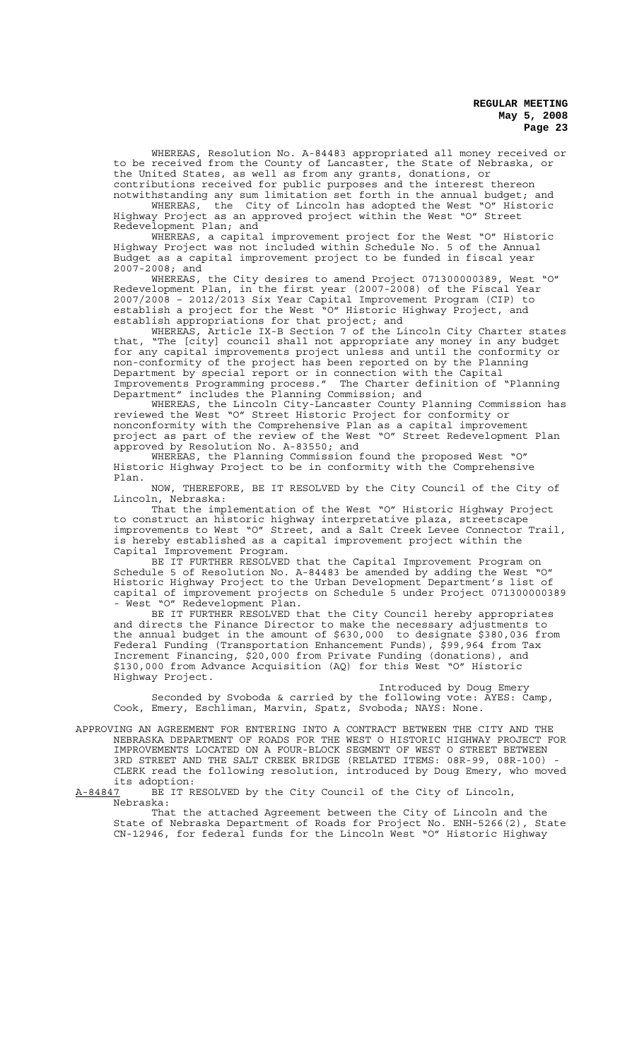WHEREAS, Resolution No. A-84483 appropriated all money received or to be received from the County of Lancaster, the State of Nebraska, or the United States, as well as from any grants, donations, or contributions received for public purposes and the interest thereon

notwithstanding any sum limitation set forth in the annual budget; and WHEREAS, the City of Lincoln has adopted the West "O" Historic Highway Project as an approved project within the West "O" Street Redevelopment Plan; and

WHEREAS, a capital improvement project for the West "O" Historic Highway Project was not included within Schedule No. 5 of the Annual Budget as a capital improvement project to be funded in fiscal year 2007-2008; and

WHEREAS, the City desires to amend Project 071300000389, West "O" Redevelopment Plan, in the first year (2007-2008) of the Fiscal Year 2007/2008 – 2012/2013 Six Year Capital Improvement Program (CIP) to establish a project for the West "O" Historic Highway Project, and establish appropriations for that project; and

WHEREAS, Article IX-B Section 7 of the Lincoln City Charter states that, "The [city] council shall not appropriate any money in any budget for any capital improvements project unless and until the conformity or non-conformity of the project has been reported on by the Planning Department by special report or in connection with the Capital Improvements Programming process." The Charter definition of "Planning Department" includes the Planning Commission; and

WHEREAS, the Lincoln City-Lancaster County Planning Commission has reviewed the West "O" Street Historic Project for conformity or nonconformity with the Comprehensive Plan as a capital improvement project as part of the review of the West "O" Street Redevelopment Plan approved by Resolution No. A-83550; and

WHEREAS, the Planning Commission found the proposed West "O" Historic Highway Project to be in conformity with the Comprehensive Plan.

NOW, THEREFORE, BE IT RESOLVED by the City Council of the City of Lincoln, Nebraska:

That the implementation of the West "O" Historic Highway Project to construct an historic highway interpretative plaza, streetscape improvements to West "O" Street, and a Salt Creek Levee Connector Trail, is hereby established as a capital improvement project within the Capital Improvement Program.

BE IT FURTHER RESOLVED that the Capital Improvement Program on Schedule 5 of Resolution No. A-84483 be amended by adding the West "O" Historic Highway Project to the Urban Development Department's list of capital of improvement projects on Schedule 5 under Project 071300000389 - West "O" Redevelopment Plan.

BE IT FURTHER RESOLVED that the City Council hereby appropriates and directs the Finance Director to make the necessary adjustments to the annual budget in the amount of \$630,000 to designate \$380,036 from Federal Funding (Transportation Enhancement Funds), \$99,964 from Tax Increment Financing, \$20,000 from Private Funding (donations), and \$130,000 from Advance Acquisition (AQ) for this West "O" Historic Highway Project.

Introduced by Doug Emery Seconded by Svoboda & carried by the following vote: AYES: Camp, Cook, Emery, Eschliman, Marvin, Spatz, Svoboda; NAYS: None.

APPROVING AN AGREEMENT FOR ENTERING INTO A CONTRACT BETWEEN THE CITY AND THE NEBRASKA DEPARTMENT OF ROADS FOR THE WEST O HISTORIC HIGHWAY PROJECT FOR IMPROVEMENTS LOCATED ON A FOUR-BLOCK SEGMENT OF WEST O STREET BETWEEN 3RD STREET AND THE SALT CREEK BRIDGE (RELATED ITEMS: 08R-99, 08R-100) - CLERK read the following resolution, introduced by Doug Emery, who moved

its adoption:<br>A-84847 BE IT R BE IT RESOLVED by the City Council of the City of Lincoln, Nebraska:

That the attached Agreement between the City of Lincoln and the State of Nebraska Department of Roads for Project No. ENH-5266(2), State CN-12946, for federal funds for the Lincoln West "O" Historic Highway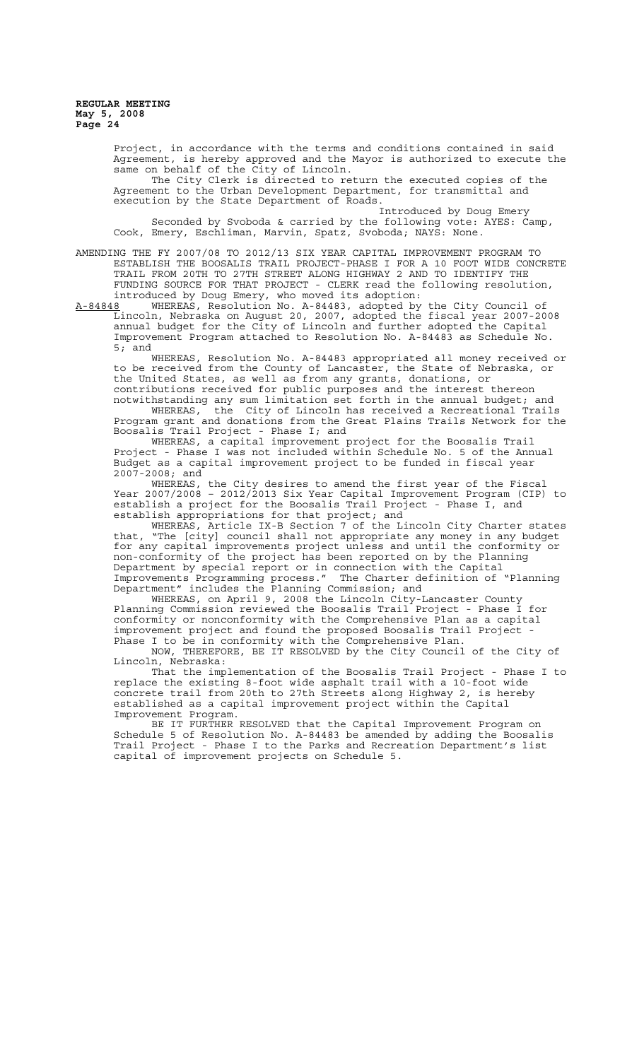Project, in accordance with the terms and conditions contained in said Agreement, is hereby approved and the Mayor is authorized to execute the same on behalf of the City of Lincoln.

The City Clerk is directed to return the executed copies of the Agreement to the Urban Development Department, for transmittal and execution by the State Department of Roads.

Introduced by Doug Emery Seconded by Svoboda & carried by the following vote: AYES: Camp, Cook, Emery, Eschliman, Marvin, Spatz, Svoboda; NAYS: None.

AMENDING THE FY 2007/08 TO 2012/13 SIX YEAR CAPITAL IMPROVEMENT PROGRAM TO ESTABLISH THE BOOSALIS TRAIL PROJECT-PHASE I FOR A 10 FOOT WIDE CONCRETE TRAIL FROM 20TH TO 27TH STREET ALONG HIGHWAY 2 AND TO IDENTIFY THE FUNDING SOURCE FOR THAT PROJECT - CLERK read the following resolution, introduced by Doug Emery, who moved its adoption:

A-84848 WHEREAS, Resolution No. A-84483, adopted by the City Council of Lincoln, Nebraska on August 20, 2007, adopted the fiscal year 2007-2008 annual budget for the City of Lincoln and further adopted the Capital Improvement Program attached to Resolution No. A-84483 as Schedule No. 5; and

WHEREAS, Resolution No. A-84483 appropriated all money received or to be received from the County of Lancaster, the State of Nebraska, or the United States, as well as from any grants, donations, or contributions received for public purposes and the interest thereon

notwithstanding any sum limitation set forth in the annual budget; and WHEREAS, the City of Lincoln has received a Recreational Trails Program grant and donations from the Great Plains Trails Network for the Boosalis Trail Project - Phase I; and

WHEREAS, a capital improvement project for the Boosalis Trail Project - Phase I was not included within Schedule No. 5 of the Annual Budget as a capital improvement project to be funded in fiscal year 2007-2008; and

WHEREAS, the City desires to amend the first year of the Fiscal Year 2007/2008 – 2012/2013 Six Year Capital Improvement Program (CIP) to establish a project for the Boosalis Trail Project - Phase I, and establish appropriations for that project; and

WHEREAS, Article IX-B Section 7 of the Lincoln City Charter states that, "The [city] council shall not appropriate any money in any budget for any capital improvements project unless and until the conformity or non-conformity of the project has been reported on by the Planning Department by special report or in connection with the Capital Improvements Programming process." The Charter definition of "Planning Department" includes the Planning Commission; and

WHEREAS, on April 9, 2008 the Lincoln City-Lancaster County Planning Commission reviewed the Boosalis Trail Project - Phase I for conformity or nonconformity with the Comprehensive Plan as a capital improvement project and found the proposed Boosalis Trail Project - Phase I to be in conformity with the Comprehensive Plan.

NOW, THEREFORE, BE IT RESOLVED by the City Council of the City of Lincoln, Nebraska:

That the implementation of the Boosalis Trail Project - Phase I to replace the existing 8-foot wide asphalt trail with a 10-foot wide concrete trail from 20th to 27th Streets along Highway 2, is hereby established as a capital improvement project within the Capital Improvement Program.

BE IT FURTHER RESOLVED that the Capital Improvement Program on Schedule 5 of Resolution No. A-84483 be amended by adding the Boosalis Trail Project - Phase I to the Parks and Recreation Department's list capital of improvement projects on Schedule 5.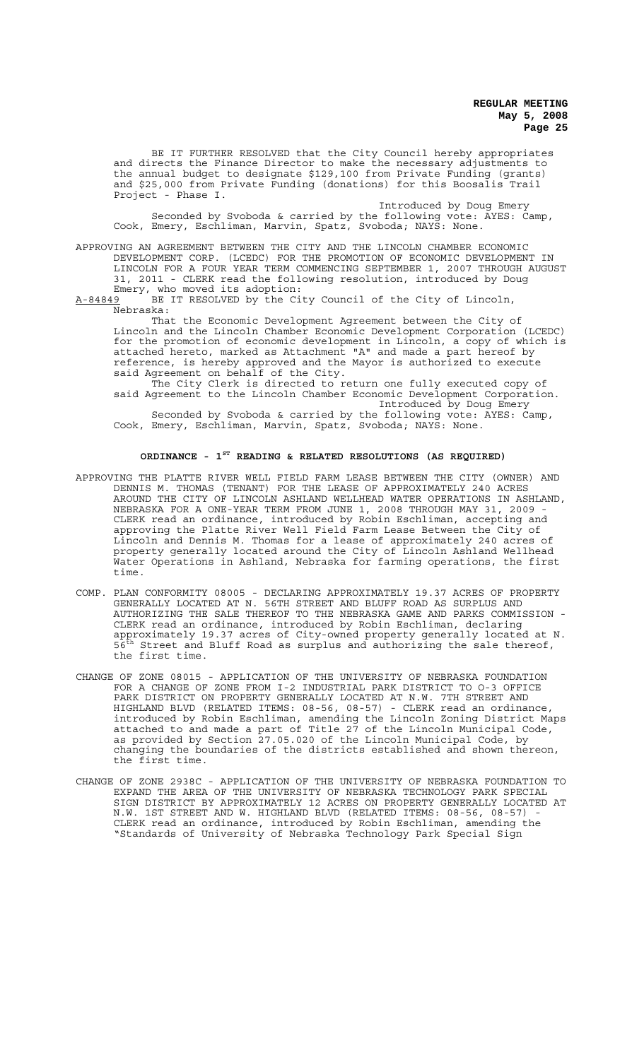BE IT FURTHER RESOLVED that the City Council hereby appropriates and directs the Finance Director to make the necessary adjustments to the annual budget to designate \$129,100 from Private Funding (grants) and \$25,000 from Private Funding (donations) for this Boosalis Trail Project - Phase I.

Introduced by Doug Emery Seconded by Svoboda & carried by the following vote: AYES: Camp, Cook, Emery, Eschliman, Marvin, Spatz, Svoboda; NAYS: None.

APPROVING AN AGREEMENT BETWEEN THE CITY AND THE LINCOLN CHAMBER ECONOMIC DEVELOPMENT CORP. (LCEDC) FOR THE PROMOTION OF ECONOMIC DEVELOPMENT IN LINCOLN FOR A FOUR YEAR TERM COMMENCING SEPTEMBER 1, 2007 THROUGH AUGUST 31, 2011 - CLERK read the following resolution, introduced by Doug Emery, who moved its adoption:

A-84849 BE IT RESOLVED by the City Council of the City of Lincoln, Nebraska:

That the Economic Development Agreement between the City of Lincoln and the Lincoln Chamber Economic Development Corporation (LCEDC) for the promotion of economic development in Lincoln, a copy of which is attached hereto, marked as Attachment "A" and made a part hereof by reference, is hereby approved and the Mayor is authorized to execute said Agreement on behalf of the City.

The City Clerk is directed to return one fully executed copy of said Agreement to the Lincoln Chamber Economic Development Corporation. Introduced by Doug Emery Seconded by Svoboda & carried by the following vote: AYES: Camp, Cook, Emery, Eschliman, Marvin, Spatz, Svoboda; NAYS: None.

#### **ORDINANCE - 1ST READING & RELATED RESOLUTIONS (AS REQUIRED)**

- APPROVING THE PLATTE RIVER WELL FIELD FARM LEASE BETWEEN THE CITY (OWNER) AND DENNIS M. THOMAS (TENANT) FOR THE LEASE OF APPROXIMATELY 240 ACRES AROUND THE CITY OF LINCOLN ASHLAND WELLHEAD WATER OPERATIONS IN ASHLAND, NEBRASKA FOR A ONE-YEAR TERM FROM JUNE 1, 2008 THROUGH MAY 31, 2009 CLERK read an ordinance, introduced by Robin Eschliman, accepting and approving the Platte River Well Field Farm Lease Between the City of Lincoln and Dennis M. Thomas for a lease of approximately 240 acres of property generally located around the City of Lincoln Ashland Wellhead Water Operations in Ashland, Nebraska for farming operations, the first time.
- COMP. PLAN CONFORMITY 08005 DECLARING APPROXIMATELY 19.37 ACRES OF PROPERTY GENERALLY LOCATED AT N. 56TH STREET AND BLUFF ROAD AS SURPLUS AND AUTHORIZING THE SALE THEREOF TO THE NEBRASKA GAME AND PARKS COMMISSION - CLERK read an ordinance, introduced by Robin Eschliman, declaring approximately 19.37 acres of City-owned property generally located at N.  $56^{\text{th}}$  Street and Bluff Road as surplus and authorizing the sale thereof, the first time.
- CHANGE OF ZONE 08015 APPLICATION OF THE UNIVERSITY OF NEBRASKA FOUNDATION FOR A CHANGE OF ZONE FROM I-2 INDUSTRIAL PARK DISTRICT TO O-3 OFFICE PARK DISTRICT ON PROPERTY GENERALLY LOCATED AT N.W. 7TH STREET AND HIGHLAND BLVD (RELATED ITEMS: 08-56, 08-57) - CLERK read an ordinance, introduced by Robin Eschliman, amending the Lincoln Zoning District Maps attached to and made a part of Title 27 of the Lincoln Municipal Code, as provided by Section 27.05.020 of the Lincoln Municipal Code, by changing the boundaries of the districts established and shown thereon, the first time.
- CHANGE OF ZONE 2938C APPLICATION OF THE UNIVERSITY OF NEBRASKA FOUNDATION TO EXPAND THE AREA OF THE UNIVERSITY OF NEBRASKA TECHNOLOGY PARK SPECIAL SIGN DISTRICT BY APPROXIMATELY 12 ACRES ON PROPERTY GENERALLY LOCATED AT N.W. 1ST STREET AND W. HIGHLAND BLVD (RELATED ITEMS: 08-56. 08-57) -1ST STREET AND W. HIGHLAND BLVD (RELATED ITEMS: 08-56, 08-57) CLERK read an ordinance, introduced by Robin Eschliman, amending the "Standards of University of Nebraska Technology Park Special Sign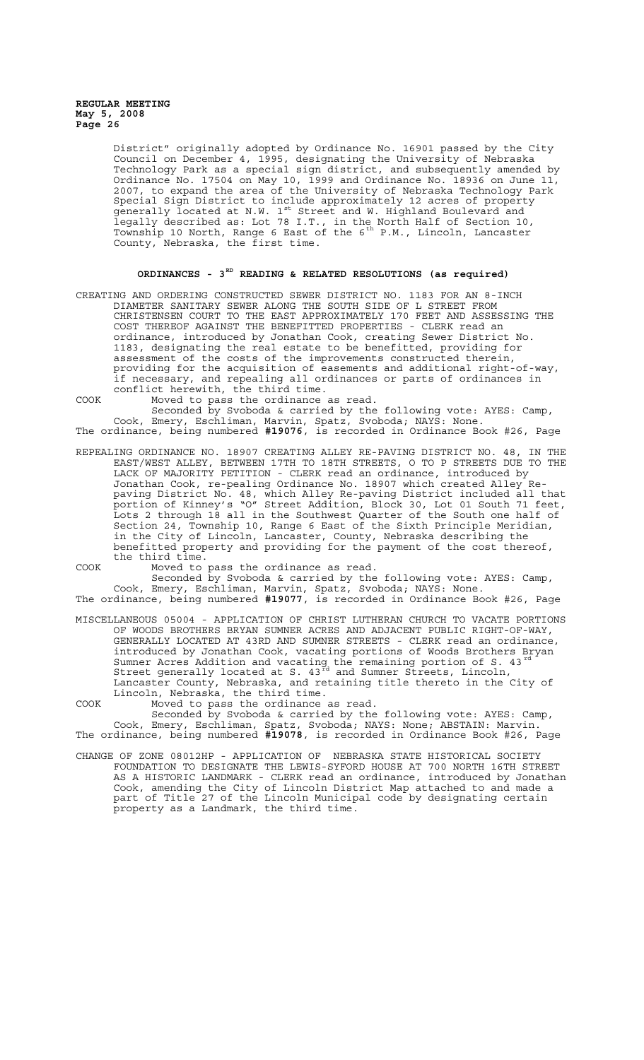District" originally adopted by Ordinance No. 16901 passed by the City Council on December 4, 1995, designating the University of Nebraska Technology Park as a special sign district, and subsequently amended by Ordinance No. 17504 on May 10, 1999 and Ordinance No. 18936 on June 11, 2007, to expand the area of the University of Nebraska Technology Park Special Sign District to include approximately 12 acres of property generally located at N.W. 1<sup>st</sup> Street and W. Highland Boulevard and legally described as: Lot 78 I.T., in the North Half of Section 10, Township 10 North, Range 6 East of the 6<sup>th</sup> P.M., Lincoln, Lancaster County, Nebraska, the first time.

# **ORDINANCES - 3RD READING & RELATED RESOLUTIONS (as required)**

CREATING AND ORDERING CONSTRUCTED SEWER DISTRICT NO. 1183 FOR AN 8-INCH DIAMETER SANITARY SEWER ALONG THE SOUTH SIDE OF L STREET FROM CHRISTENSEN COURT TO THE EAST APPROXIMATELY 170 FEET AND ASSESSING THE COST THEREOF AGAINST THE BENEFITTED PROPERTIES - CLERK read an ordinance, introduced by Jonathan Cook, creating Sewer District No. 1183, designating the real estate to be benefitted, providing for assessment of the costs of the improvements constructed therein, providing for the acquisition of easements and additional right-of-way, if necessary, and repealing all ordinances or parts of ordinances in conflict herewith, the third time.

COOK Moved to pass the ordinance as read. Seconded by Svoboda & carried by the following vote: AYES: Camp, Cook, Emery, Eschliman, Marvin, Spatz, Svoboda; NAYS: None. The ordinance, being numbered **#19076**, is recorded in Ordinance Book #26, Page

REPEALING ORDINANCE NO. 18907 CREATING ALLEY RE-PAVING DISTRICT NO. 48, IN THE EAST/WEST ALLEY, BETWEEN 17TH TO 18TH STREETS, O TO P STREETS DUE TO THE LACK OF MAJORITY PETITION - CLERK read an ordinance, introduced by Jonathan Cook, re-pealing Ordinance No. 18907 which created Alley Repaving District No. 48, which Alley Re-paving District included all that

portion of Kinney's "O" Street Addition, Block 30, Lot 01 South 71 feet, Lots 2 through 18 all in the Southwest Quarter of the South one half of Section 24, Township 10, Range 6 East of the Sixth Principle Meridian, in the City of Lincoln, Lancaster, County, Nebraska describing the benefitted property and providing for the payment of the cost thereof, the third time.

COOK Moved to pass the ordinance as read.

Seconded by Svoboda & carried by the following vote: AYES: Camp, Cook, Emery, Eschliman, Marvin, Spatz, Svoboda; NAYS: None. The ordinance, being numbered **#19077**, is recorded in Ordinance Book #26, Page

MISCELLANEOUS 05004 - APPLICATION OF CHRIST LUTHERAN CHURCH TO VACATE PORTIONS OF WOODS BROTHERS BRYAN SUMNER ACRES AND ADJACENT PUBLIC RIGHT-OF-WAY, GENERALLY LOCATED AT 43RD AND SUMNER STREETS - CLERK read an ordinance, introduced by Jonathan Cook, vacating portions of Woods Brothers Bryan Sumner Acres Addition and vacating the remaining portion of S. 43 $^{rd}$ Street generally located at S.  $43^{\frac{3}{10}}$  and Sumner Streets, Lincoln, Lancaster County, Nebraska, and retaining title thereto in the City of Lincoln, Nebraska, the third time.

COOK Moved to pass the ordinance as read.

Seconded by Svoboda & carried by the following vote: AYES: Camp, Cook, Emery, Eschliman, Spatz, Svoboda; NAYS: None; ABSTAIN: Marvin. The ordinance, being numbered **#19078**, is recorded in Ordinance Book #26, Page

CHANGE OF ZONE 08012HP - APPLICATION OF NEBRASKA STATE HISTORICAL SOCIETY FOUNDATION TO DESIGNATE THE LEWIS-SYFORD HOUSE AT 700 NORTH 16TH STREET AS A HISTORIC LANDMARK - CLERK read an ordinance, introduced by Jonathan Cook, amending the City of Lincoln District Map attached to and made a part of Title 27 of the Lincoln Municipal code by designating certain property as a Landmark, the third time.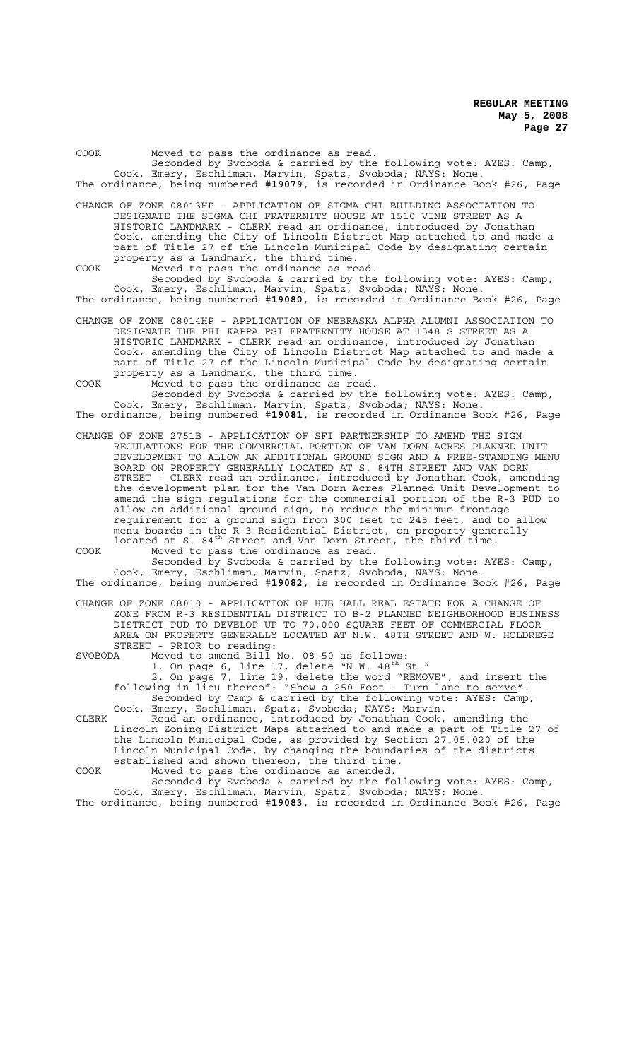| COOK |  | Moved to pass the ordinance as read.                                          |  |  |  |  |
|------|--|-------------------------------------------------------------------------------|--|--|--|--|
|      |  | Seconded by Svoboda & carried by the following vote: AYES: Camp,              |  |  |  |  |
|      |  | Cook, Emery, Eschliman, Marvin, Spatz, Svoboda; NAYS: None.                   |  |  |  |  |
|      |  | The ordinance, being numbered #19079, is recorded in Ordinance Book #26, Page |  |  |  |  |

CHANGE OF ZONE 08013HP - APPLICATION OF SIGMA CHI BUILDING ASSOCIATION TO DESIGNATE THE SIGMA CHI FRATERNITY HOUSE AT 1510 VINE STREET AS A HISTORIC LANDMARK - CLERK read an ordinance, introduced by Jonathan Cook, amending the City of Lincoln District Map attached to and made a part of Title 27 of the Lincoln Municipal Code by designating certain property as a Landmark, the third time. COOK Moved to pass the ordinance as read.

Seconded by Svoboda & carried by the following vote: AYES: Camp, Cook, Emery, Eschliman, Marvin, Spatz, Svoboda; NAYS: None. The ordinance, being numbered **#19080**, is recorded in Ordinance Book #26, Page

CHANGE OF ZONE 08014HP - APPLICATION OF NEBRASKA ALPHA ALUMNI ASSOCIATION TO DESIGNATE THE PHI KAPPA PSI FRATERNITY HOUSE AT 1548 S STREET AS A HISTORIC LANDMARK - CLERK read an ordinance, introduced by Jonathan Cook, amending the City of Lincoln District Map attached to and made a part of Title 27 of the Lincoln Municipal Code by designating certain property as a Landmark, the third time.

COOK Moved to pass the ordinance as read. Seconded by Svoboda & carried by the following vote: AYES: Camp, Cook, Emery, Eschliman, Marvin, Spatz, Svoboda; NAYS: None. The ordinance, being numbered **#19081**, is recorded in Ordinance Book #26, Page

CHANGE OF ZONE 2751B - APPLICATION OF SFI PARTNERSHIP TO AMEND THE SIGN REGULATIONS FOR THE COMMERCIAL PORTION OF VAN DORN ACRES PLANNED UNIT DEVELOPMENT TO ALLOW AN ADDITIONAL GROUND SIGN AND A FREE-STANDING MENU BOARD ON PROPERTY GENERALLY LOCATED AT S. 84TH STREET AND VAN DORN STREET - CLERK read an ordinance, introduced by Jonathan Cook, amending the development plan for the Van Dorn Acres Planned Unit Development to amend the sign regulations for the commercial portion of the R-3 PUD to allow an additional ground sign, to reduce the minimum frontage requirement for a ground sign from 300 feet to 245 feet, and to allow

menu boards in the R-3 Residential District, on property generally located at S. 84<sup>th</sup> Street and Van Dorn Street, the third time. COOK Moved to pass the ordinance as read. Seconded by Svoboda & carried by the following vote: AYES: Camp,

Cook, Emery, Eschliman, Marvin, Spatz, Svoboda; NAYS: None. The ordinance, being numbered **#19082**, is recorded in Ordinance Book #26, Page

CHANGE OF ZONE 08010 - APPLICATION OF HUB HALL REAL ESTATE FOR A CHANGE OF ZONE FROM R-3 RESIDENTIAL DISTRICT TO B-2 PLANNED NEIGHBORHOOD BUSINESS DISTRICT PUD TO DEVELOP UP TO 70,000 SQUARE FEET OF COMMERCIAL FLOOR AREA ON PROPERTY GENERALLY LOCATED AT N.W. 48TH STREET AND W. HOLDREGE STREET - PRIOR to reading:<br>SVOBODA Moved to amend Bill

SVOBODA Moved to amend Bill No. 08-50 as follows:

1. On page 6, line 17, delete "N.W.  $48^{\text{th}}$  St." 2. On page 7, line 19, delete the word "REMOVE", and insert the following in lieu thereof: "Show a 250 Foot - Turn lane to serve". Seconded by Camp & carried by the following vote: AYES: Camp,

Cook, Emery, Eschliman, Spatz, Svoboda; NAYS: Marvin. CLERK Read an ordinance, introduced by Jonathan Cook, amending the Lincoln Zoning District Maps attached to and made a part of Title 27 of the Lincoln Municipal Code, as provided by Section 27.05.020 of the Lincoln Municipal Code, by changing the boundaries of the districts established and shown thereon, the third time.

COOK Moved to pass the ordinance as amended.

Seconded by Svoboda & carried by the following vote: AYES: Camp, Cook, Emery, Eschliman, Marvin, Spatz, Svoboda; NAYS: None. The ordinance, being numbered **#19083**, is recorded in Ordinance Book #26, Page